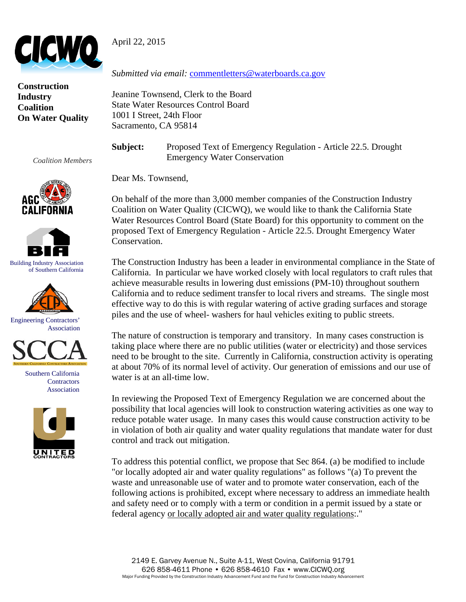



**Construction Industry Coalition On Water Quality** 

*Coalition Members* 





Building Industry Association of Southern California







Southern California **Contractors** Association



*Submitted via email:* commentletters@waterboards.ca.gov

Jeanine Townsend, Clerk to the Board State Water Resources Control Board 1001 I Street, 24th Floor Sacramento, CA 95814

**Subject:** Proposed Text of Emergency Regulation - Article 22.5. Drought Emergency Water Conservation

Dear Ms. Townsend,

On behalf of the more than 3,000 member companies of the Construction Industry Coalition on Water Quality (CICWQ), we would like to thank the California State Water Resources Control Board (State Board) for this opportunity to comment on the proposed Text of Emergency Regulation - Article 22.5. Drought Emergency Water Conservation.

The Construction Industry has been a leader in environmental compliance in the State of California. In particular we have worked closely with local regulators to craft rules that achieve measurable results in lowering dust emissions (PM-10) throughout southern California and to reduce sediment transfer to local rivers and streams. The single most effective way to do this is with regular watering of active grading surfaces and storage piles and the use of wheel- washers for haul vehicles exiting to public streets.

The nature of construction is temporary and transitory. In many cases construction is taking place where there are no public utilities (water or electricity) and those services need to be brought to the site. Currently in California, construction activity is operating at about 70% of its normal level of activity. Our generation of emissions and our use of water is at an all-time low.

In reviewing the Proposed Text of Emergency Regulation we are concerned about the possibility that local agencies will look to construction watering activities as one way to reduce potable water usage. In many cases this would cause construction activity to be in violation of both air quality and water quality regulations that mandate water for dust control and track out mitigation.

To address this potential conflict, we propose that Sec 864. (a) be modified to include "or locally adopted air and water quality regulations" as follows "(a) To prevent the waste and unreasonable use of water and to promote water conservation, each of the following actions is prohibited, except where necessary to address an immediate health and safety need or to comply with a term or condition in a permit issued by a state or federal agency or locally adopted air and water quality regulations:."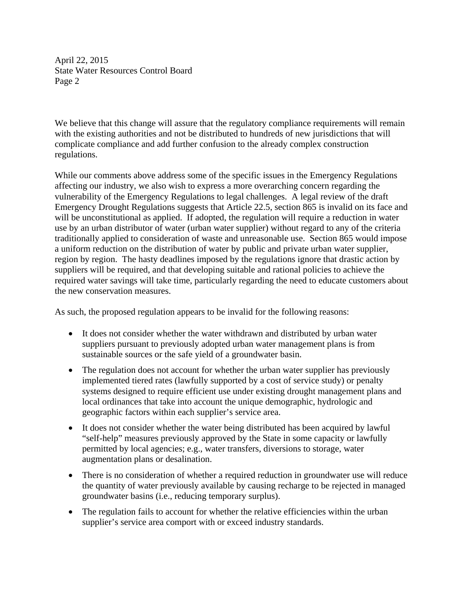April 22, 2015 State Water Resources Control Board Page 2

We believe that this change will assure that the regulatory compliance requirements will remain with the existing authorities and not be distributed to hundreds of new jurisdictions that will complicate compliance and add further confusion to the already complex construction regulations.

While our comments above address some of the specific issues in the Emergency Regulations affecting our industry, we also wish to express a more overarching concern regarding the vulnerability of the Emergency Regulations to legal challenges. A legal review of the draft Emergency Drought Regulations suggests that Article 22.5, section 865 is invalid on its face and will be unconstitutional as applied. If adopted, the regulation will require a reduction in water use by an urban distributor of water (urban water supplier) without regard to any of the criteria traditionally applied to consideration of waste and unreasonable use. Section 865 would impose a uniform reduction on the distribution of water by public and private urban water supplier, region by region. The hasty deadlines imposed by the regulations ignore that drastic action by suppliers will be required, and that developing suitable and rational policies to achieve the required water savings will take time, particularly regarding the need to educate customers about the new conservation measures.

As such, the proposed regulation appears to be invalid for the following reasons:

- It does not consider whether the water withdrawn and distributed by urban water suppliers pursuant to previously adopted urban water management plans is from sustainable sources or the safe yield of a groundwater basin.
- The regulation does not account for whether the urban water supplier has previously implemented tiered rates (lawfully supported by a cost of service study) or penalty systems designed to require efficient use under existing drought management plans and local ordinances that take into account the unique demographic, hydrologic and geographic factors within each supplier's service area.
- It does not consider whether the water being distributed has been acquired by lawful "self-help" measures previously approved by the State in some capacity or lawfully permitted by local agencies; e.g., water transfers, diversions to storage, water augmentation plans or desalination.
- There is no consideration of whether a required reduction in groundwater use will reduce the quantity of water previously available by causing recharge to be rejected in managed groundwater basins (i.e., reducing temporary surplus).
- The regulation fails to account for whether the relative efficiencies within the urban supplier's service area comport with or exceed industry standards.